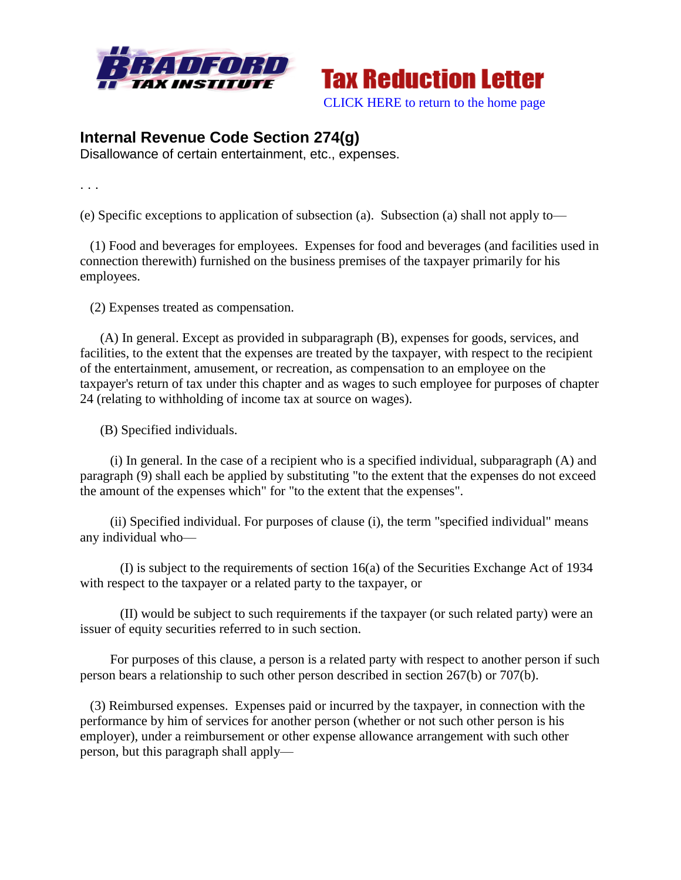



## **Internal Revenue Code Section 274(g)**

Disallowance of certain entertainment, etc., expenses.

. . .

(e) Specific exceptions to application of subsection (a). Subsection (a) shall not apply to—

 (1) Food and beverages for employees. Expenses for food and beverages (and facilities used in connection therewith) furnished on the business premises of the taxpayer primarily for his employees.

(2) Expenses treated as compensation.

 (A) In general. Except as provided in subparagraph (B), expenses for goods, services, and facilities, to the extent that the expenses are treated by the taxpayer, with respect to the recipient of the entertainment, amusement, or recreation, as compensation to an employee on the taxpayer's return of tax under this chapter and as wages to such employee for purposes of chapter 24 (relating to withholding of income tax at source on wages).

(B) Specified individuals.

(i) In general. In the case of a recipient who is a specified individual, subparagraph  $(A)$  and paragraph (9) shall each be applied by substituting "to the extent that the expenses do not exceed the amount of the expenses which" for "to the extent that the expenses".

 (ii) Specified individual. For purposes of clause (i), the term "specified individual" means any individual who—

 (I) is subject to the requirements of section 16(a) of the Securities Exchange Act of 1934 with respect to the taxpayer or a related party to the taxpayer, or

 (II) would be subject to such requirements if the taxpayer (or such related party) were an issuer of equity securities referred to in such section.

 For purposes of this clause, a person is a related party with respect to another person if such person bears a relationship to such other person described in section 267(b) or 707(b).

 (3) Reimbursed expenses. Expenses paid or incurred by the taxpayer, in connection with the performance by him of services for another person (whether or not such other person is his employer), under a reimbursement or other expense allowance arrangement with such other person, but this paragraph shall apply—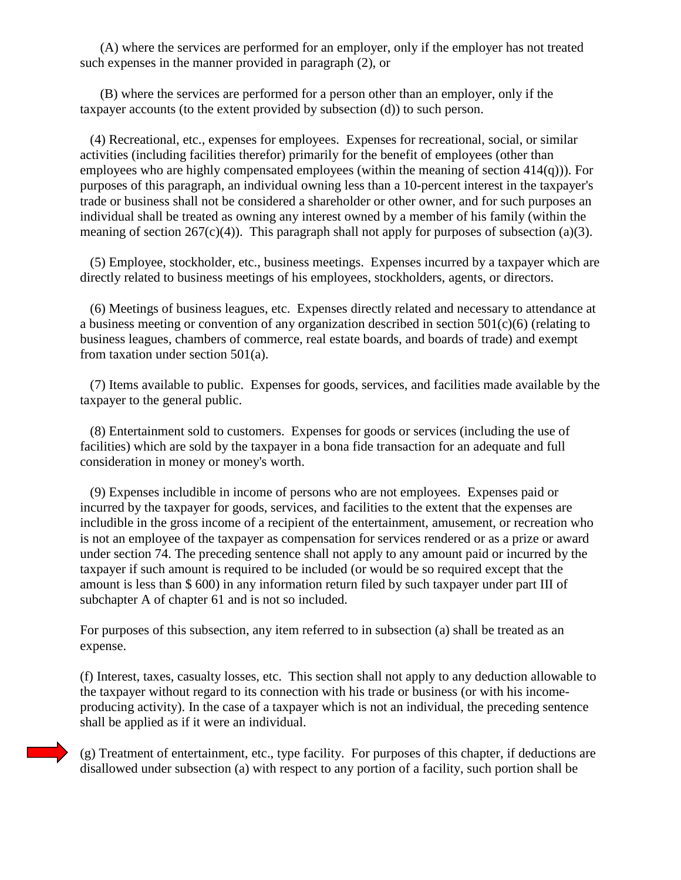(A) where the services are performed for an employer, only if the employer has not treated such expenses in the manner provided in paragraph (2), or

 (B) where the services are performed for a person other than an employer, only if the taxpayer accounts (to the extent provided by subsection (d)) to such person.

 (4) Recreational, etc., expenses for employees. Expenses for recreational, social, or similar activities (including facilities therefor) primarily for the benefit of employees (other than employees who are highly compensated employees (within the meaning of section 414(q))). For purposes of this paragraph, an individual owning less than a 10-percent interest in the taxpayer's trade or business shall not be considered a shareholder or other owner, and for such purposes an individual shall be treated as owning any interest owned by a member of his family (within the meaning of section 267(c)(4)). This paragraph shall not apply for purposes of subsection (a)(3).

 (5) Employee, stockholder, etc., business meetings. Expenses incurred by a taxpayer which are directly related to business meetings of his employees, stockholders, agents, or directors.

 (6) Meetings of business leagues, etc. Expenses directly related and necessary to attendance at a business meeting or convention of any organization described in section 501(c)(6) (relating to business leagues, chambers of commerce, real estate boards, and boards of trade) and exempt from taxation under section 501(a).

 (7) Items available to public. Expenses for goods, services, and facilities made available by the taxpayer to the general public.

 (8) Entertainment sold to customers. Expenses for goods or services (including the use of facilities) which are sold by the taxpayer in a bona fide transaction for an adequate and full consideration in money or money's worth.

 (9) Expenses includible in income of persons who are not employees. Expenses paid or incurred by the taxpayer for goods, services, and facilities to the extent that the expenses are includible in the gross income of a recipient of the entertainment, amusement, or recreation who is not an employee of the taxpayer as compensation for services rendered or as a prize or award under section 74. The preceding sentence shall not apply to any amount paid or incurred by the taxpayer if such amount is required to be included (or would be so required except that the amount is less than \$ 600) in any information return filed by such taxpayer under part III of subchapter A of chapter 61 and is not so included.

For purposes of this subsection, any item referred to in subsection (a) shall be treated as an expense.

(f) Interest, taxes, casualty losses, etc. This section shall not apply to any deduction allowable to the taxpayer without regard to its connection with his trade or business (or with his incomeproducing activity). In the case of a taxpayer which is not an individual, the preceding sentence shall be applied as if it were an individual.

(g) Treatment of entertainment, etc., type facility. For purposes of this chapter, if deductions are disallowed under subsection (a) with respect to any portion of a facility, such portion shall be